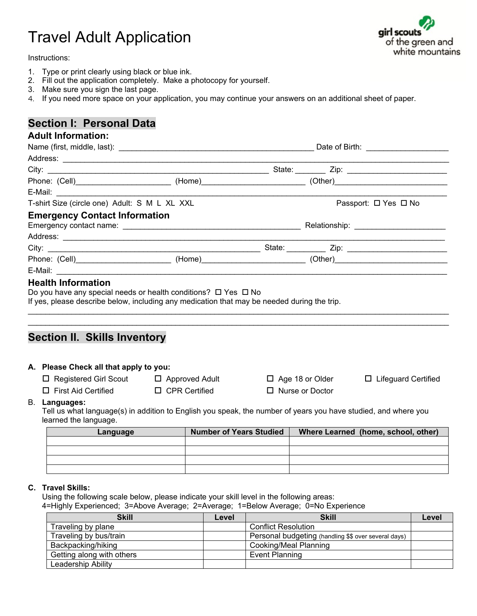# Travel Adult Application

Instructions:

- 1. Type or print clearly using black or blue ink.
- 2. Fill out the application completely. Make a photocopy for yourself.
- 3. Make sure you sign the last page.
- 4. If you need more space on your application, you may continue your answers on an additional sheet of paper.

### **Section I: Personal Data**

#### **Adult Information:**

|                                               |                                                                                                                                                          |                                                                                                           |  | Date of Birth: \\cdot \\cdot \\cdot \\cdot \\cdot \\cdot \\cdot \\cdot \\cdot \\cdot \\cdot \\cdot \\cdot \\cdot \\cdot \\cdot \\cdot \\cdot \\cdot \\cdot \\cdot \\cdot \\cdot \\cdot \\cdot \\cdot \\cdot \\cdot \\cdot \\cd |                                     |  |  |
|-----------------------------------------------|----------------------------------------------------------------------------------------------------------------------------------------------------------|-----------------------------------------------------------------------------------------------------------|--|--------------------------------------------------------------------------------------------------------------------------------------------------------------------------------------------------------------------------------|-------------------------------------|--|--|
|                                               |                                                                                                                                                          |                                                                                                           |  |                                                                                                                                                                                                                                |                                     |  |  |
|                                               |                                                                                                                                                          |                                                                                                           |  |                                                                                                                                                                                                                                |                                     |  |  |
|                                               |                                                                                                                                                          | Phone: (Cell)___________________________(Home)_________________________(Other)___________________________ |  |                                                                                                                                                                                                                                |                                     |  |  |
|                                               |                                                                                                                                                          |                                                                                                           |  |                                                                                                                                                                                                                                |                                     |  |  |
| T-shirt Size (circle one) Adult: S M L XL XXL |                                                                                                                                                          |                                                                                                           |  | Passport: □ Yes □ No                                                                                                                                                                                                           |                                     |  |  |
|                                               | <b>Emergency Contact Information</b>                                                                                                                     |                                                                                                           |  |                                                                                                                                                                                                                                |                                     |  |  |
|                                               |                                                                                                                                                          |                                                                                                           |  |                                                                                                                                                                                                                                |                                     |  |  |
|                                               |                                                                                                                                                          |                                                                                                           |  |                                                                                                                                                                                                                                |                                     |  |  |
|                                               |                                                                                                                                                          |                                                                                                           |  |                                                                                                                                                                                                                                |                                     |  |  |
|                                               |                                                                                                                                                          | Phone: (Cell)__________________________(Home)_________________________(Other)____________________________ |  |                                                                                                                                                                                                                                |                                     |  |  |
|                                               |                                                                                                                                                          |                                                                                                           |  |                                                                                                                                                                                                                                |                                     |  |  |
|                                               | <b>Section II. Skills Inventory</b>                                                                                                                      |                                                                                                           |  |                                                                                                                                                                                                                                |                                     |  |  |
|                                               | A. Please Check all that apply to you:<br>$\Box$ Registered Girl Scout $\Box$ Approved Adult                                                             |                                                                                                           |  |                                                                                                                                                                                                                                |                                     |  |  |
|                                               |                                                                                                                                                          |                                                                                                           |  | $\Box$ Age 18 or Older                                                                                                                                                                                                         | □ Lifeguard Certified               |  |  |
|                                               | $\Box$ First Aid Certified                                                                                                                               | $\Box$ CPR Certified                                                                                      |  | $\Box$ Nurse or Doctor                                                                                                                                                                                                         |                                     |  |  |
|                                               | B. Languages:<br>Tell us what language(s) in addition to English you speak, the number of years you have studied, and where you<br>learned the language. |                                                                                                           |  |                                                                                                                                                                                                                                |                                     |  |  |
|                                               | Language                                                                                                                                                 | Number of Years Studied                                                                                   |  |                                                                                                                                                                                                                                | Where Learned (home, school, other) |  |  |
|                                               |                                                                                                                                                          |                                                                                                           |  |                                                                                                                                                                                                                                |                                     |  |  |
|                                               |                                                                                                                                                          |                                                                                                           |  |                                                                                                                                                                                                                                |                                     |  |  |
|                                               |                                                                                                                                                          |                                                                                                           |  |                                                                                                                                                                                                                                |                                     |  |  |

#### **C. Travel Skills:**

Using the following scale below, please indicate your skill level in the following areas: 4=Highly Experienced; 3=Above Average; 2=Average; 1=Below Average; 0=No Experience

| <b>Skill</b>              | Level | <b>Skill</b>                                         | Level |
|---------------------------|-------|------------------------------------------------------|-------|
| Traveling by plane        |       | <b>Conflict Resolution</b>                           |       |
| Traveling by bus/train    |       | Personal budgeting (handling \$\$ over several days) |       |
| Backpacking/hiking        |       | Cooking/Meal Planning                                |       |
| Getting along with others |       | <b>Event Planning</b>                                |       |
| Leadership Ability        |       |                                                      |       |

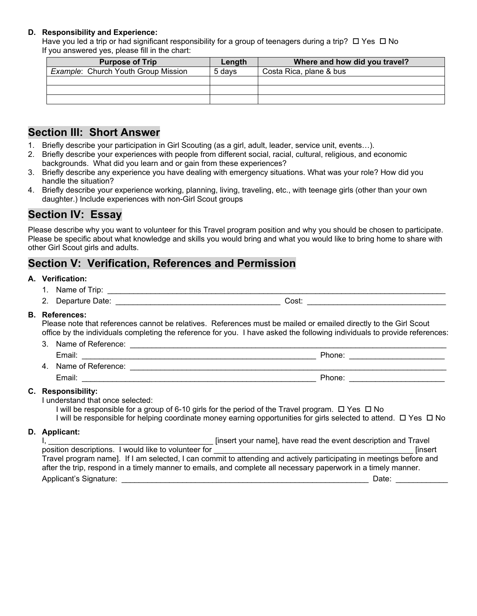#### **D. Responsibility and Experience:**

Have you led a trip or had significant responsibility for a group of teenagers during a trip?  $\Box$  Yes  $\Box$  No If you answered yes, please fill in the chart:

| <b>Purpose of Trip</b>                     | Length | Where and how did you travel? |
|--------------------------------------------|--------|-------------------------------|
| <b>Example: Church Youth Group Mission</b> | 5 davs | Costa Rica, plane & bus       |
|                                            |        |                               |
|                                            |        |                               |
|                                            |        |                               |

### **Section III: Short Answer**

- 1. Briefly describe your participation in Girl Scouting (as a girl, adult, leader, service unit, events…).
- 2. Briefly describe your experiences with people from different social, racial, cultural, religious, and economic backgrounds. What did you learn and or gain from these experiences?
- 3. Briefly describe any experience you have dealing with emergency situations. What was your role? How did you handle the situation?
- 4. Briefly describe your experience working, planning, living, traveling, etc., with teenage girls (other than your own daughter.) Include experiences with non-Girl Scout groups

### **Section IV: Essay**

Please describe why you want to volunteer for this Travel program position and why you should be chosen to participate. Please be specific about what knowledge and skills you would bring and what you would like to bring home to share with other Girl Scout girls and adults.

### **Section V: Verification, References and Permission**

#### **A. Verification:**

- 1. Name of Trip: \_\_\_\_\_\_\_\_\_\_\_\_\_\_\_\_\_\_\_\_\_\_\_\_\_\_\_\_\_\_\_\_\_\_\_\_\_\_\_\_\_\_\_\_\_\_\_\_\_\_\_\_\_\_\_\_\_\_\_\_\_\_\_\_\_\_\_\_\_\_\_\_\_\_\_\_\_\_
- 2. Departure Date: \_\_\_\_\_\_\_\_\_\_\_\_\_\_\_\_\_\_\_\_\_\_\_\_\_\_\_\_\_\_\_\_\_\_\_\_\_\_ Cost: \_\_\_\_\_\_\_\_\_\_\_\_\_\_\_\_\_\_\_\_\_\_\_\_\_\_\_\_\_\_\_\_

#### **B. References:**

Please note that references cannot be relatives. References must be mailed or emailed directly to the Girl Scout office by the individuals completing the reference for you. I have asked the following individuals to provide references:

- 3. Name of Reference: \_\_\_\_\_\_\_\_\_\_\_\_\_\_\_\_\_\_\_\_\_\_\_\_\_\_\_\_\_\_\_\_\_\_\_\_\_\_\_\_\_\_\_\_\_\_\_\_\_\_\_\_\_\_\_\_\_\_\_\_\_\_\_\_\_\_\_\_\_\_\_\_\_
- Email: \_\_\_\_\_\_\_\_\_\_\_\_\_\_\_\_\_\_\_\_\_\_\_\_\_\_\_\_\_\_\_\_\_\_\_\_\_\_\_\_\_\_\_\_\_\_\_\_\_\_\_\_\_\_ Phone: \_\_\_\_\_\_\_\_\_\_\_\_\_\_\_\_\_\_\_\_\_\_ 4. Name of Reference: \_\_\_\_\_\_\_\_\_\_\_\_\_\_\_\_\_\_\_\_\_\_\_\_\_\_\_\_\_\_\_\_\_\_\_\_\_\_\_\_\_\_\_\_\_\_\_\_\_\_\_\_\_\_\_\_\_\_\_\_\_\_\_\_\_\_\_\_\_\_\_\_\_ Email: \_\_\_\_\_\_\_\_\_\_\_\_\_\_\_\_\_\_\_\_\_\_\_\_\_\_\_\_\_\_\_\_\_\_\_\_\_\_\_\_\_\_\_\_\_\_\_\_\_\_\_\_\_\_ Phone: \_\_\_\_\_\_\_\_\_\_\_\_\_\_\_\_\_\_\_\_\_\_

#### **C. Responsibility:**

I understand that once selected:

I will be responsible for a group of 6-10 girls for the period of the Travel program.  $\Box$  Yes  $\Box$  No

I will be responsible for helping coordinate money earning opportunities for girls selected to attend.  $\Box$  Yes  $\Box$  No **D. Applicant:**

|                                                      | [insert your name], have read the event description and Travel                                                                                                                                                                        |
|------------------------------------------------------|---------------------------------------------------------------------------------------------------------------------------------------------------------------------------------------------------------------------------------------|
| position descriptions. I would like to volunteer for | <b>Tinsert</b>                                                                                                                                                                                                                        |
|                                                      | Travel program name]. If I am selected, I can commit to attending and actively participating in meetings before and<br>after the trip, respond in a timely manner to emails, and complete all necessary paperwork in a timely manner. |
| Applicant's Signature:                               | Date:                                                                                                                                                                                                                                 |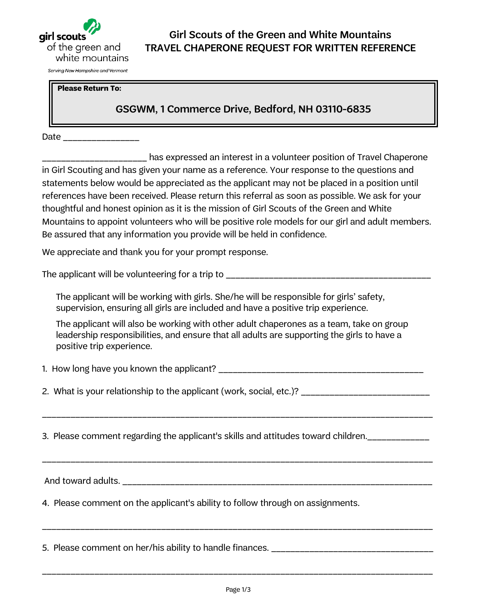

**Please Return To:** 

### GSGWM, 1 Commerce Drive, Bedford, NH 03110-6835

Date \_\_\_\_\_\_\_\_\_\_\_\_

\_\_\_\_\_\_\_\_\_\_\_\_\_\_\_\_\_\_\_\_\_\_ has expressed an interest in a volunteer position of Travel Chaperone in Girl Scouting and has given your name as a reference. Your response to the questions and statements below would be appreciated as the applicant may not be placed in a position until references have been received. Please return this referral as soon as possible. We ask for your thoughtful and honest opinion as it is the mission of Girl Scouts of the Green and White Mountains to appoint volunteers who will be positive role models for our girl and adult members. Be assured that any information you provide will be held in confidence.

We appreciate and thank you for your prompt response.

The applicant will be volunteering for a trip to \_\_\_\_\_\_\_\_\_\_\_\_\_\_\_\_\_\_\_\_\_\_\_\_\_\_\_\_\_\_\_\_

The applicant will be working with girls. She/he will be responsible for girls' safety, supervision, ensuring all girls are included and have a positive trip experience.

The applicant will also be working with other adult chaperones as a team, take on group leadership responsibilities, and ensure that all adults are supporting the girls to have a positive trip experience.

1. How long have you known the applicant?

2. What is your relationship to the applicant (work, social, etc.)?

\_\_\_\_\_\_\_\_\_\_\_\_\_\_\_\_\_\_\_\_\_\_\_\_\_\_\_\_\_\_\_\_\_\_\_\_\_\_\_\_\_\_\_\_\_\_\_\_\_\_\_\_\_\_\_\_\_\_\_\_\_\_\_\_\_\_\_\_\_\_\_\_\_\_\_\_\_\_\_\_\_\_

\_\_\_\_\_\_\_\_\_\_\_\_\_\_\_\_\_\_\_\_\_\_\_\_\_\_\_\_\_\_\_\_\_\_\_\_\_\_\_\_\_\_\_\_\_\_\_\_\_\_\_\_\_\_\_\_\_\_\_\_\_\_\_\_\_\_\_\_\_\_\_\_\_\_\_\_\_\_\_\_\_\_

3. Please comment regarding the applicant's skills and attitudes toward children.

And toward adults.

4. Please comment on the applicant's ability to follow through on assignments.

5. Please comment on her/his ability to handle finances. <u>\_\_\_\_\_\_\_\_\_\_\_\_\_\_\_\_\_\_\_\_\_</u>\_\_\_\_\_\_\_

\_\_\_\_\_\_\_\_\_\_\_\_\_\_\_\_\_\_\_\_\_\_\_\_\_\_\_\_\_\_\_\_\_\_\_\_\_\_\_\_\_\_\_\_\_\_\_\_\_\_\_\_\_\_\_\_\_\_\_\_\_\_\_\_\_\_\_\_\_\_\_\_\_\_\_\_\_\_\_\_\_\_

\_\_\_\_\_\_\_\_\_\_\_\_\_\_\_\_\_\_\_\_\_\_\_\_\_\_\_\_\_\_\_\_\_\_\_\_\_\_\_\_\_\_\_\_\_\_\_\_\_\_\_\_\_\_\_\_\_\_\_\_\_\_\_\_\_\_\_\_\_\_\_\_\_\_\_\_\_\_\_\_\_\_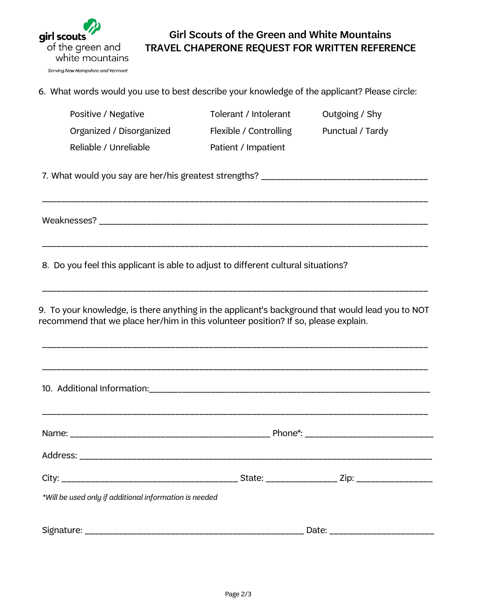

## Girl Scouts of the Green and White Mountains TRAVEL CHAPERONE REQUEST FOR WRITTEN REFERENCE

6. What words would you use to best describe your knowledge of the applicant? Please circle:

| Positive / Negative                                                                                                                                                                    | Tolerant / Intolerant  | Outgoing / Shy   |  |
|----------------------------------------------------------------------------------------------------------------------------------------------------------------------------------------|------------------------|------------------|--|
| Organized / Disorganized                                                                                                                                                               | Flexible / Controlling | Punctual / Tardy |  |
| Reliable / Unreliable                                                                                                                                                                  | Patient / Impatient    |                  |  |
| 7. What would you say are her/his greatest strengths? __________________________________                                                                                               |                        |                  |  |
|                                                                                                                                                                                        |                        |                  |  |
| 8. Do you feel this applicant is able to adjust to different cultural situations?                                                                                                      |                        |                  |  |
| 9. To your knowledge, is there anything in the applicant's background that would lead you to NOT<br>recommend that we place her/him in this volunteer position? If so, please explain. |                        |                  |  |
|                                                                                                                                                                                        |                        |                  |  |
|                                                                                                                                                                                        |                        |                  |  |
|                                                                                                                                                                                        |                        |                  |  |
|                                                                                                                                                                                        |                        |                  |  |
| *Will be used only if additional information is needed                                                                                                                                 |                        |                  |  |
|                                                                                                                                                                                        |                        |                  |  |
|                                                                                                                                                                                        |                        |                  |  |